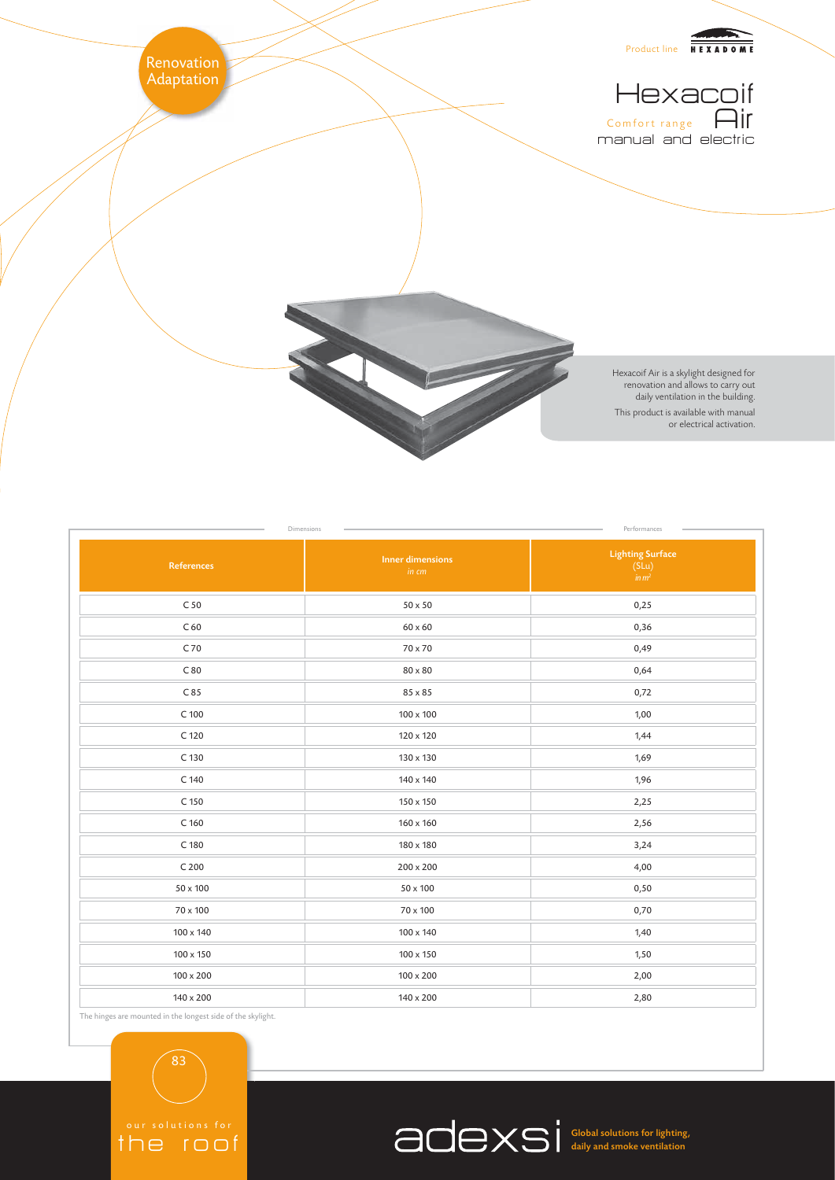

| References       | <b>Inner dimensions</b><br>in cm | <b>Lighting Surface</b><br>$(SLu)$<br>$in m2$ |
|------------------|----------------------------------|-----------------------------------------------|
| C <sub>50</sub>  | $50 \times 50$                   | 0,25                                          |
| C <sub>60</sub>  | $60\times60$                     | 0,36                                          |
| C 70             | 70 x 70                          | 0,49                                          |
| C80              | $80\times80$                     | 0,64                                          |
| C85              | 85 x 85                          | 0,72                                          |
| $C$ 100          | $100 \times 100$                 | 1,00                                          |
| C 120            | 120 x 120                        | 1,44                                          |
| C 130            | 130 x 130                        | 1,69                                          |
| C 140            | 140 x 140                        | 1,96                                          |
| C 150            | 150 x 150                        | 2,25                                          |
| C <sub>160</sub> | 160 x 160                        | 2,56                                          |
| C 180            | 180 x 180                        | 3,24                                          |
| C <sub>200</sub> | 200 x 200                        | 4,00                                          |
| 50 x 100         | 50 x 100                         | 0,50                                          |
| 70 x 100         | 70 x 100                         | 0,70                                          |
| 100 x 140        | 100 x 140                        | 1,40                                          |
| 100 x 150        | 100 x 150                        | 1,50                                          |
| $100\times200$   | $100\times200$                   | 2,00                                          |
| 140 x 200        | 140 x 200                        | 2,80                                          |

Dimensions **Performances** Performances

The hinges are mounted in the longest side of the skylight.

83

the roof



Global solutions for lighting, daily and smoke ventilation